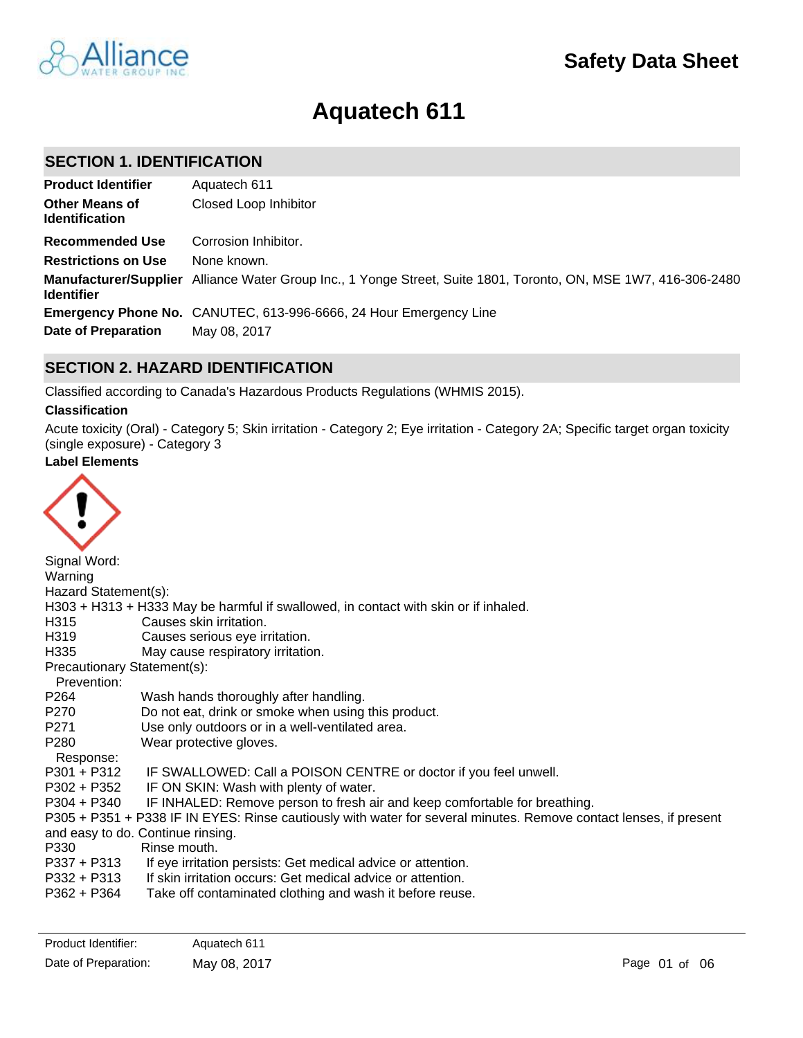

# **Aquatech 611**

# **SECTION 1. IDENTIFICATION**

| <b>Product Identifier</b>                      | Aquatech 611                                                                                                    |
|------------------------------------------------|-----------------------------------------------------------------------------------------------------------------|
| <b>Other Means of</b><br><b>Identification</b> | Closed Loop Inhibitor                                                                                           |
| <b>Recommended Use</b>                         | Corrosion Inhibitor.                                                                                            |
| <b>Restrictions on Use</b>                     | None known.                                                                                                     |
| <b>Identifier</b>                              | Manufacturer/Supplier Alliance Water Group Inc., 1 Yonge Street, Suite 1801, Toronto, ON, MSE 1W7, 416-306-2480 |
|                                                | Emergency Phone No. CANUTEC, 613-996-6666, 24 Hour Emergency Line                                               |
| Date of Preparation                            | May 08, 2017                                                                                                    |

# **SECTION 2. HAZARD IDENTIFICATION**

Classified according to Canada's Hazardous Products Regulations (WHMIS 2015).

### **Classification**

Acute toxicity (Oral) - Category 5; Skin irritation - Category 2; Eye irritation - Category 2A; Specific target organ toxicity (single exposure) - Category 3

# **Label Elements**



| Signal Word:                |                                                                                                                   |
|-----------------------------|-------------------------------------------------------------------------------------------------------------------|
| Warning                     |                                                                                                                   |
| Hazard Statement(s):        |                                                                                                                   |
|                             | H303 + H313 + H333 May be harmful if swallowed, in contact with skin or if inhaled.                               |
| H315                        | Causes skin irritation.                                                                                           |
| H319                        | Causes serious eye irritation.                                                                                    |
| H335                        | May cause respiratory irritation.                                                                                 |
| Precautionary Statement(s): |                                                                                                                   |
| Prevention:                 |                                                                                                                   |
| P264                        | Wash hands thoroughly after handling.                                                                             |
| P270                        | Do not eat, drink or smoke when using this product.                                                               |
| P <sub>271</sub>            | Use only outdoors or in a well-ventilated area.                                                                   |
| P280                        | Wear protective gloves.                                                                                           |
| Response:                   |                                                                                                                   |
| $P301 + P312$               | IF SWALLOWED: Call a POISON CENTRE or doctor if you feel unwell.                                                  |
|                             | P302 + P352 IF ON SKIN: Wash with plenty of water.                                                                |
| P304 + P340                 | IF INHALED: Remove person to fresh air and keep comfortable for breathing.                                        |
|                             | P305 + P351 + P338 IF IN EYES: Rinse cautiously with water for several minutes. Remove contact lenses, if present |
|                             | and easy to do. Continue rinsing.                                                                                 |
| P330                        | Rinse mouth.                                                                                                      |
| P337 + P313                 | If eye irritation persists: Get medical advice or attention.                                                      |
| P332 + P313                 | If skin irritation occurs: Get medical advice or attention.                                                       |
| P362 + P364                 | Take off contaminated clothing and wash it before reuse.                                                          |
|                             |                                                                                                                   |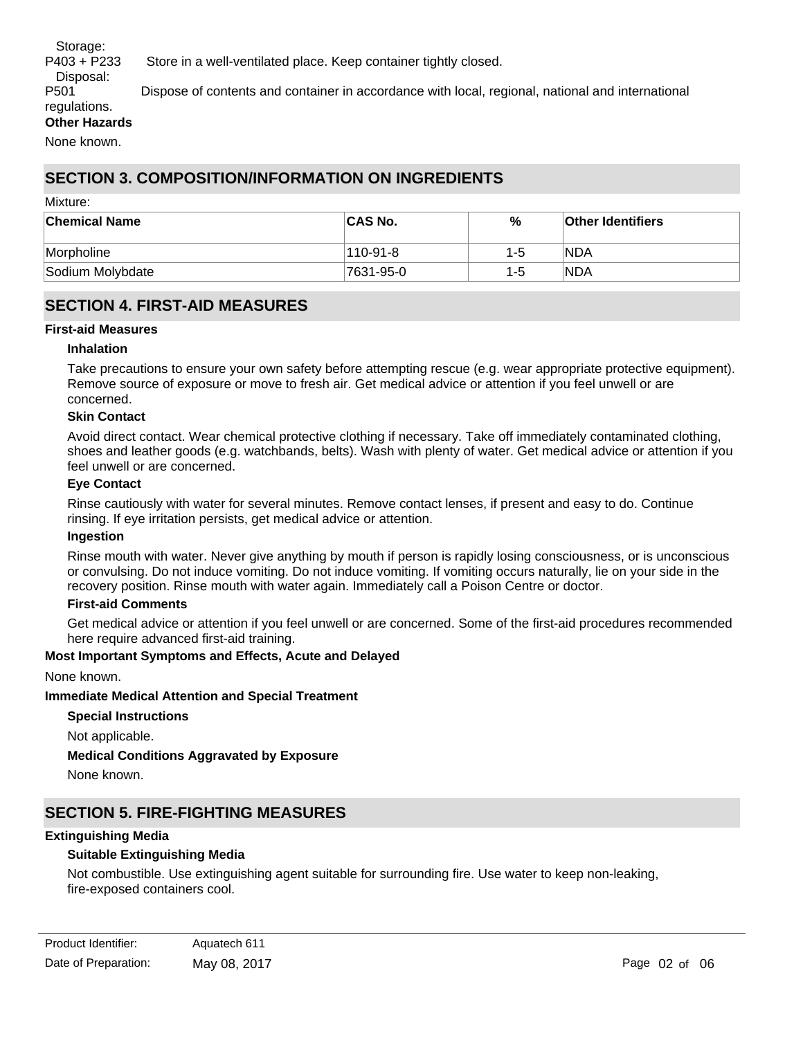Storage:

Disposal:

P403 + P233 Store in a well-ventilated place. Keep container tightly closed.

P501 Dispose of contents and container in accordance with local, regional, national and international

#### regulations. **Other Hazards**

None known.

# **SECTION 3. COMPOSITION/INFORMATION ON INGREDIENTS**

#### Mixture:

| <b>Chemical Name</b> | <b>CAS No.</b> | %   | <b>Other Identifiers</b> |
|----------------------|----------------|-----|--------------------------|
| <b>Morpholine</b>    | 110-91-8       | 1-5 | <b>NDA</b>               |
| Sodium Molybdate     | 7631-95-0      | 1-5 | NDA                      |

# **SECTION 4. FIRST-AID MEASURES**

#### **First-aid Measures**

#### **Inhalation**

Take precautions to ensure your own safety before attempting rescue (e.g. wear appropriate protective equipment). Remove source of exposure or move to fresh air. Get medical advice or attention if you feel unwell or are concerned.

#### **Skin Contact**

Avoid direct contact. Wear chemical protective clothing if necessary. Take off immediately contaminated clothing, shoes and leather goods (e.g. watchbands, belts). Wash with plenty of water. Get medical advice or attention if you feel unwell or are concerned.

#### **Eye Contact**

Rinse cautiously with water for several minutes. Remove contact lenses, if present and easy to do. Continue rinsing. If eye irritation persists, get medical advice or attention.

#### **Ingestion**

Rinse mouth with water. Never give anything by mouth if person is rapidly losing consciousness, or is unconscious or convulsing. Do not induce vomiting. Do not induce vomiting. If vomiting occurs naturally, lie on your side in the recovery position. Rinse mouth with water again. Immediately call a Poison Centre or doctor.

#### **First-aid Comments**

Get medical advice or attention if you feel unwell or are concerned. Some of the first-aid procedures recommended here require advanced first-aid training.

#### **Most Important Symptoms and Effects, Acute and Delayed**

None known.

#### **Immediate Medical Attention and Special Treatment**

**Special Instructions** Not applicable.

**Medical Conditions Aggravated by Exposure**

None known.

# **SECTION 5. FIRE-FIGHTING MEASURES**

#### **Extinguishing Media**

### **Suitable Extinguishing Media**

Not combustible. Use extinguishing agent suitable for surrounding fire. Use water to keep non-leaking, fire-exposed containers cool.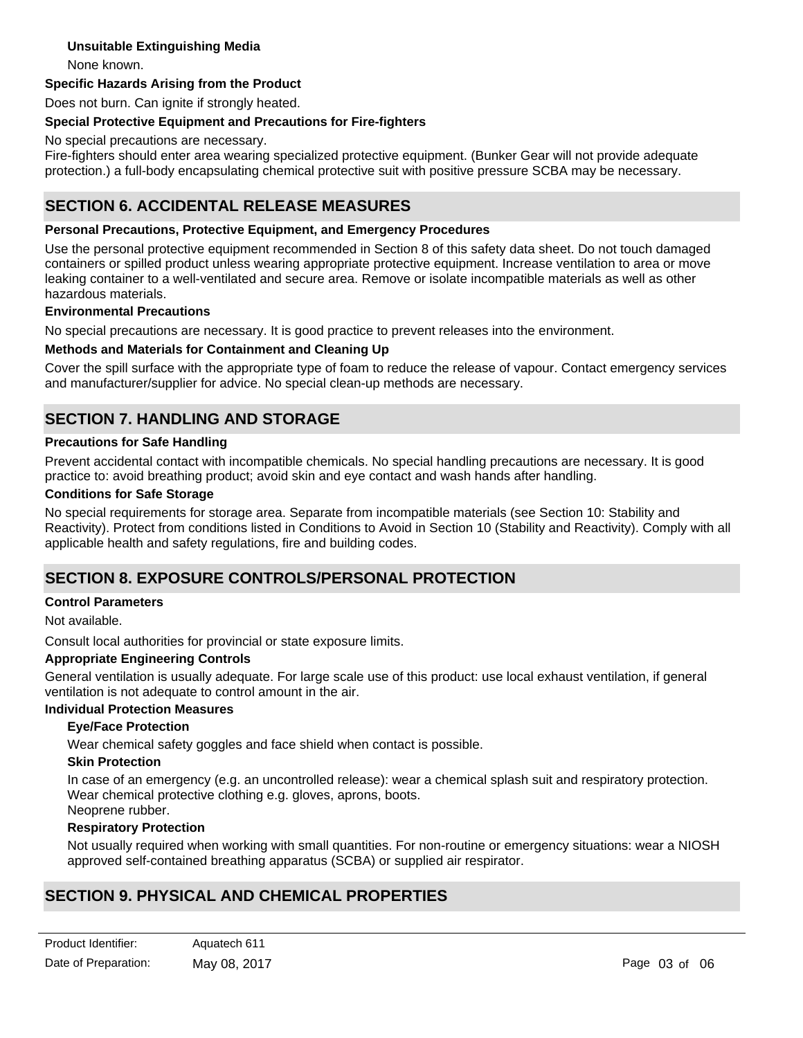### **Unsuitable Extinguishing Media**

None known.

#### **Specific Hazards Arising from the Product**

Does not burn. Can ignite if strongly heated.

#### **Special Protective Equipment and Precautions for Fire-fighters**

No special precautions are necessary.

Fire-fighters should enter area wearing specialized protective equipment. (Bunker Gear will not provide adequate protection.) a full-body encapsulating chemical protective suit with positive pressure SCBA may be necessary.

# **SECTION 6. ACCIDENTAL RELEASE MEASURES**

#### **Personal Precautions, Protective Equipment, and Emergency Procedures**

Use the personal protective equipment recommended in Section 8 of this safety data sheet. Do not touch damaged containers or spilled product unless wearing appropriate protective equipment. Increase ventilation to area or move leaking container to a well-ventilated and secure area. Remove or isolate incompatible materials as well as other hazardous materials.

#### **Environmental Precautions**

No special precautions are necessary. It is good practice to prevent releases into the environment.

#### **Methods and Materials for Containment and Cleaning Up**

Cover the spill surface with the appropriate type of foam to reduce the release of vapour. Contact emergency services and manufacturer/supplier for advice. No special clean-up methods are necessary.

# **SECTION 7. HANDLING AND STORAGE**

#### **Precautions for Safe Handling**

Prevent accidental contact with incompatible chemicals. No special handling precautions are necessary. It is good practice to: avoid breathing product; avoid skin and eye contact and wash hands after handling.

#### **Conditions for Safe Storage**

No special requirements for storage area. Separate from incompatible materials (see Section 10: Stability and Reactivity). Protect from conditions listed in Conditions to Avoid in Section 10 (Stability and Reactivity). Comply with all applicable health and safety regulations, fire and building codes.

## **SECTION 8. EXPOSURE CONTROLS/PERSONAL PROTECTION**

#### **Control Parameters**

Not available.

Consult local authorities for provincial or state exposure limits.

#### **Appropriate Engineering Controls**

General ventilation is usually adequate. For large scale use of this product: use local exhaust ventilation, if general ventilation is not adequate to control amount in the air.

# **Individual Protection Measures**

#### **Eye/Face Protection**

Wear chemical safety goggles and face shield when contact is possible.

#### **Skin Protection**

In case of an emergency (e.g. an uncontrolled release): wear a chemical splash suit and respiratory protection. Wear chemical protective clothing e.g. gloves, aprons, boots. Neoprene rubber.

#### **Respiratory Protection**

Not usually required when working with small quantities. For non-routine or emergency situations: wear a NIOSH approved self-contained breathing apparatus (SCBA) or supplied air respirator.

# **SECTION 9. PHYSICAL AND CHEMICAL PROPERTIES**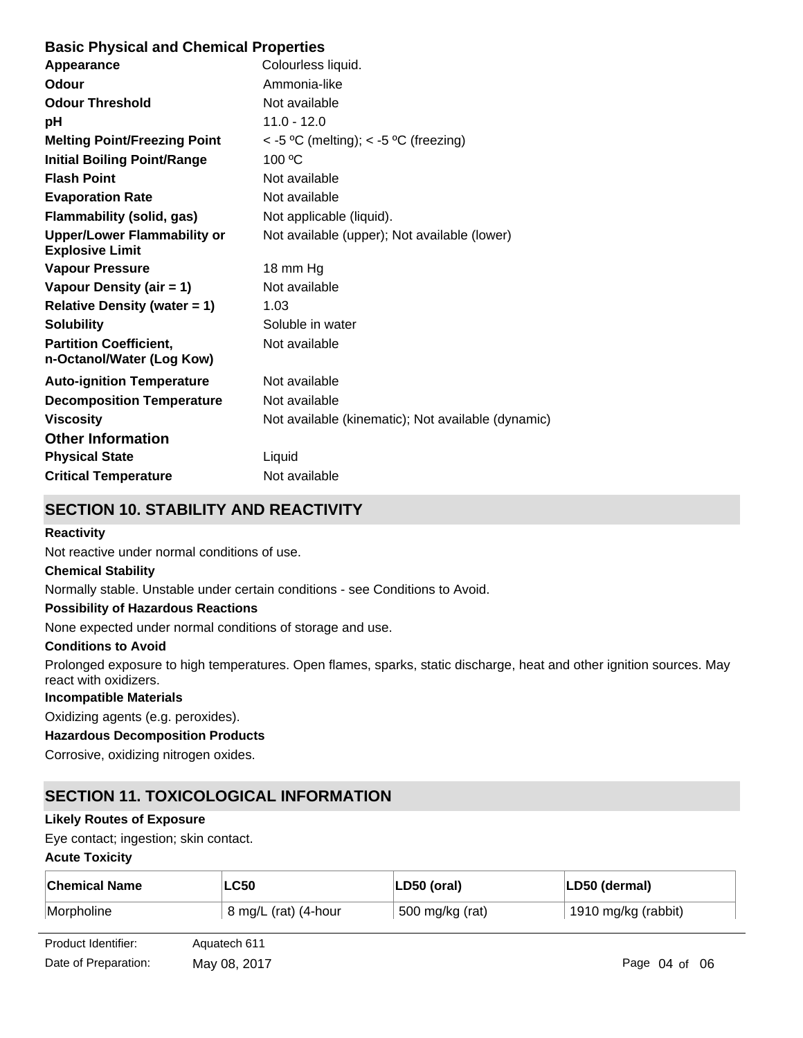# **Basic Physical and Chemical Properties**

| Appearance                                                   | Colourless liquid.                                 |
|--------------------------------------------------------------|----------------------------------------------------|
| <b>Odour</b>                                                 | Ammonia-like                                       |
| <b>Odour Threshold</b>                                       | Not available                                      |
| рH                                                           | $11.0 - 12.0$                                      |
| <b>Melting Point/Freezing Point</b>                          | $<$ -5 °C (melting); $<$ -5 °C (freezing)          |
| <b>Initial Boiling Point/Range</b>                           | 100 °C                                             |
| <b>Flash Point</b>                                           | Not available                                      |
| <b>Evaporation Rate</b>                                      | Not available                                      |
| <b>Flammability (solid, gas)</b>                             | Not applicable (liquid).                           |
| <b>Upper/Lower Flammability or</b><br><b>Explosive Limit</b> | Not available (upper); Not available (lower)       |
| <b>Vapour Pressure</b>                                       | 18 mm Hg                                           |
| Vapour Density (air = 1)                                     | Not available                                      |
| <b>Relative Density (water = 1)</b>                          | 1.03                                               |
| <b>Solubility</b>                                            | Soluble in water                                   |
| <b>Partition Coefficient,</b><br>n-Octanol/Water (Log Kow)   | Not available                                      |
| <b>Auto-ignition Temperature</b>                             | Not available                                      |
| <b>Decomposition Temperature</b>                             | Not available                                      |
| <b>Viscosity</b>                                             | Not available (kinematic); Not available (dynamic) |
| <b>Other Information</b>                                     |                                                    |
| <b>Physical State</b>                                        | Liquid                                             |
| <b>Critical Temperature</b>                                  | Not available                                      |
|                                                              |                                                    |

# **SECTION 10. STABILITY AND REACTIVITY**

### **Reactivity**

Not reactive under normal conditions of use.

#### **Chemical Stability**

Normally stable. Unstable under certain conditions - see Conditions to Avoid.

#### **Possibility of Hazardous Reactions**

None expected under normal conditions of storage and use.

#### **Conditions to Avoid**

Prolonged exposure to high temperatures. Open flames, sparks, static discharge, heat and other ignition sources. May react with oxidizers.

#### **Incompatible Materials**

Oxidizing agents (e.g. peroxides).

### **Hazardous Decomposition Products**

Corrosive, oxidizing nitrogen oxides.

# **SECTION 11. TOXICOLOGICAL INFORMATION**

### **Likely Routes of Exposure**

Eye contact; ingestion; skin contact.

#### **Acute Toxicity**

| <b>Chemical Name</b> | LC50                 | LD50 (oral)     | LD50 (dermal)       |
|----------------------|----------------------|-----------------|---------------------|
| Morpholine           | 8 mg/L (rat) (4-hour | 500 mg/kg (rat) | 1910 mg/kg (rabbit) |

| Product Identifier:  | Aquatech 611 |
|----------------------|--------------|
| Date of Preparation: | May 08, 2017 |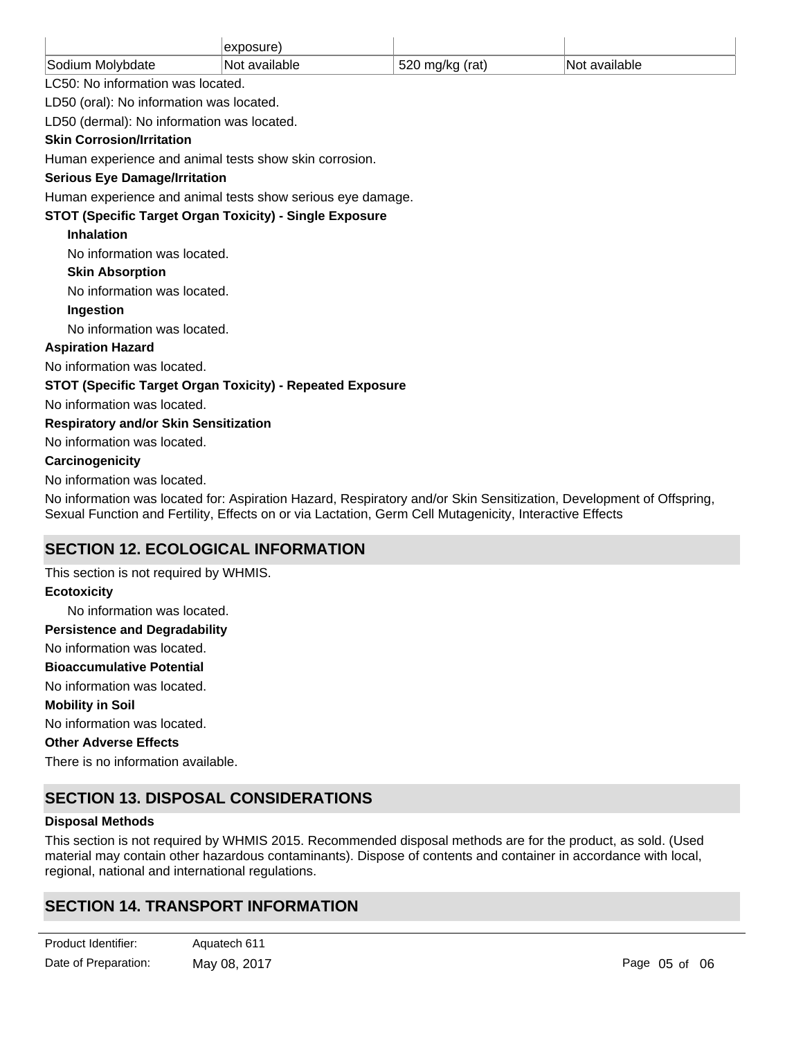|                                                                                                                                                                                                                                | exposure)                   |                 |               |
|--------------------------------------------------------------------------------------------------------------------------------------------------------------------------------------------------------------------------------|-----------------------------|-----------------|---------------|
| Sodium Molybdate                                                                                                                                                                                                               | Not available               | 520 mg/kg (rat) | Not available |
| LC50: No information was located.                                                                                                                                                                                              |                             |                 |               |
| LD50 (oral): No information was located.                                                                                                                                                                                       |                             |                 |               |
| LD50 (dermal): No information was located.                                                                                                                                                                                     |                             |                 |               |
| <b>Skin Corrosion/Irritation</b>                                                                                                                                                                                               |                             |                 |               |
| Human experience and animal tests show skin corrosion.                                                                                                                                                                         |                             |                 |               |
| <b>Serious Eye Damage/Irritation</b>                                                                                                                                                                                           |                             |                 |               |
| Human experience and animal tests show serious eye damage.                                                                                                                                                                     |                             |                 |               |
| <b>STOT (Specific Target Organ Toxicity) - Single Exposure</b>                                                                                                                                                                 |                             |                 |               |
| <b>Inhalation</b>                                                                                                                                                                                                              |                             |                 |               |
| No information was located.                                                                                                                                                                                                    |                             |                 |               |
| <b>Skin Absorption</b>                                                                                                                                                                                                         |                             |                 |               |
|                                                                                                                                                                                                                                | No information was located. |                 |               |
| Ingestion                                                                                                                                                                                                                      |                             |                 |               |
| No information was located.                                                                                                                                                                                                    |                             |                 |               |
| <b>Aspiration Hazard</b>                                                                                                                                                                                                       |                             |                 |               |
| No information was located.                                                                                                                                                                                                    |                             |                 |               |
| STOT (Specific Target Organ Toxicity) - Repeated Exposure                                                                                                                                                                      |                             |                 |               |
| No information was located.                                                                                                                                                                                                    |                             |                 |               |
| <b>Respiratory and/or Skin Sensitization</b>                                                                                                                                                                                   |                             |                 |               |
| No information was located.                                                                                                                                                                                                    |                             |                 |               |
| Carcinogenicity                                                                                                                                                                                                                |                             |                 |               |
| No information was located.                                                                                                                                                                                                    |                             |                 |               |
| No information was located for: Aspiration Hazard, Respiratory and/or Skin Sensitization, Development of Offspring,<br>Sexual Function and Fertility, Effects on or via Lactation, Germ Cell Mutagenicity, Interactive Effects |                             |                 |               |
| <b>SECTION 12. ECOLOGICAL INFORMATION</b>                                                                                                                                                                                      |                             |                 |               |

No information was located. No information was located. No information was located. There is no information available. This section is not required by WHMIS. No information was located. **Ecotoxicity Persistence and Degradability Mobility in Soil Other Adverse Effects Bioaccumulative Potential**

# **SECTION 13. DISPOSAL CONSIDERATIONS**

### **Disposal Methods**

This section is not required by WHMIS 2015. Recommended disposal methods are for the product, as sold. (Used material may contain other hazardous contaminants). Dispose of contents and container in accordance with local, regional, national and international regulations.

This section is not required by WHMIS 2015. Not regulated under Canadian TDG regulations. Not regulated under US

# **SECTION 14. TRANSPORT INFORMATION**